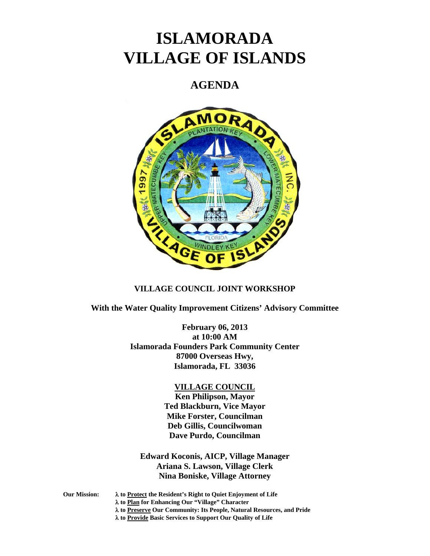# **ISLAMORADA VILLAGE OF ISLANDS**

## **AGENDA**



#### **VILLAGE COUNCIL JOINT WORKSHOP**

**With the Water Quality Improvement Citizens' Advisory Committee** 

**February 06, 2013 at 10:00 AM Islamorada Founders Park Community Center 87000 Overseas Hwy, Islamorada, FL 33036** 

#### **VILLAGE COUNCIL**

**Ken Philipson, Mayor Ted Blackburn, Vice Mayor Mike Forster, Councilman Deb Gillis, Councilwoman Dave Purdo, Councilman** 

**Edward Koconis, AICP, Village Manager Ariana S. Lawson, Village Clerk Nina Boniske, Village Attorney** 

- **Our Mission: to Protect the Resident's Right to Quiet Enjoyment of Life** 
	- **to Plan for Enhancing Our "Village" Character**
	- **to Preserve Our Community: Its People, Natural Resources, and Pride**

**to Provide Basic Services to Support Our Quality of Life**